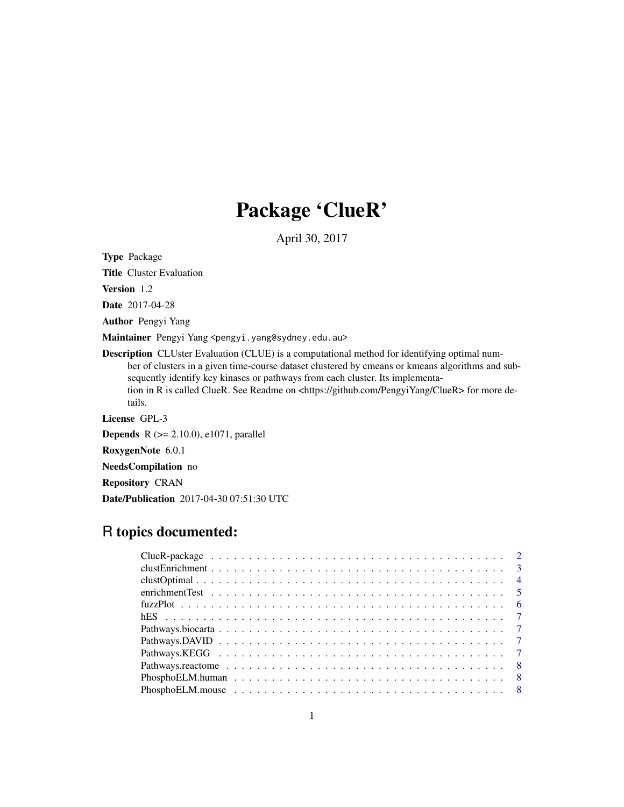# Package 'ClueR'

April 30, 2017

Type Package

Title Cluster Evaluation

Version 1.2

Date 2017-04-28

Author Pengyi Yang

Maintainer Pengyi Yang <pengyi.yang@sydney.edu.au>

Description CLUster Evaluation (CLUE) is a computational method for identifying optimal number of clusters in a given time-course dataset clustered by cmeans or kmeans algorithms and subsequently identify key kinases or pathways from each cluster. Its implementation in R is called ClueR. See Readme on <https://github.com/PengyiYang/ClueR> for more details.

License GPL-3

**Depends** R ( $>= 2.10.0$ ), e1071, parallel

RoxygenNote 6.0.1

NeedsCompilation no

Repository CRAN

Date/Publication 2017-04-30 07:51:30 UTC

# R topics documented: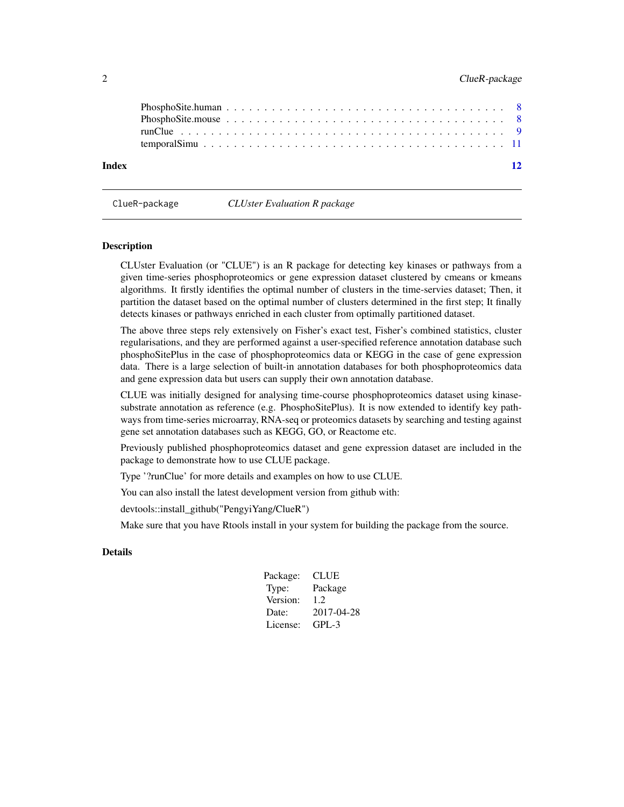<span id="page-1-0"></span>

| Index | $\overline{12}$ |
|-------|-----------------|
|       |                 |
|       |                 |
|       |                 |
|       |                 |

| ClueR-package | <b>CLUster Evaluation R package</b> |  |
|---------------|-------------------------------------|--|
|---------------|-------------------------------------|--|

# Description

CLUster Evaluation (or "CLUE") is an R package for detecting key kinases or pathways from a given time-series phosphoproteomics or gene expression dataset clustered by cmeans or kmeans algorithms. It firstly identifies the optimal number of clusters in the time-servies dataset; Then, it partition the dataset based on the optimal number of clusters determined in the first step; It finally detects kinases or pathways enriched in each cluster from optimally partitioned dataset.

The above three steps rely extensively on Fisher's exact test, Fisher's combined statistics, cluster regularisations, and they are performed against a user-specified reference annotation database such phosphoSitePlus in the case of phosphoproteomics data or KEGG in the case of gene expression data. There is a large selection of built-in annotation databases for both phosphoproteomics data and gene expression data but users can supply their own annotation database.

CLUE was initially designed for analysing time-course phosphoproteomics dataset using kinasesubstrate annotation as reference (e.g. PhosphoSitePlus). It is now extended to identify key pathways from time-series microarray, RNA-seq or proteomics datasets by searching and testing against gene set annotation databases such as KEGG, GO, or Reactome etc.

Previously published phosphoproteomics dataset and gene expression dataset are included in the package to demonstrate how to use CLUE package.

Type '?runClue' for more details and examples on how to use CLUE.

You can also install the latest development version from github with:

devtools::install\_github("PengyiYang/ClueR")

Make sure that you have Rtools install in your system for building the package from the source.

# Details

| Package: | CLUE       |
|----------|------------|
| Type:    | Package    |
| Version: | 1.2.       |
| Date:    | 2017-04-28 |
| License: | GPL-3      |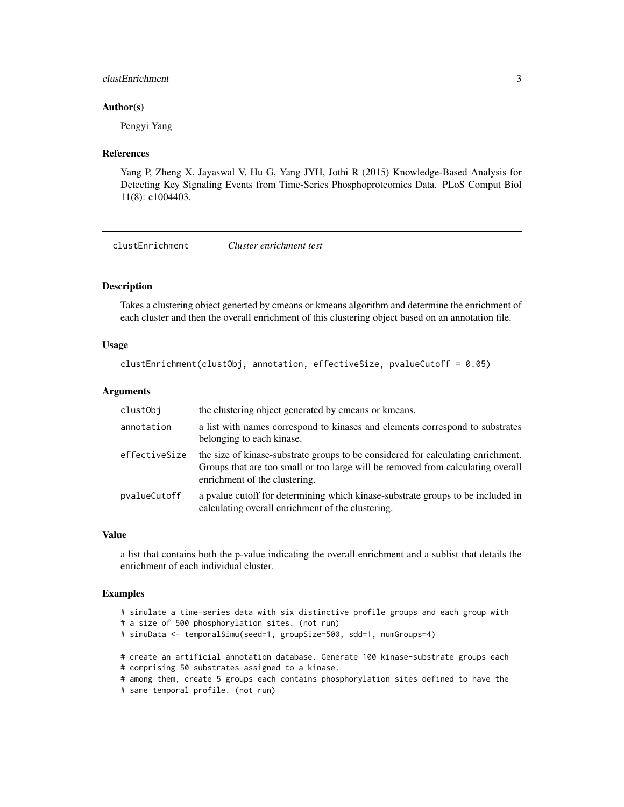# <span id="page-2-0"></span>clustEnrichment 3

# Author(s)

Pengyi Yang

# References

Yang P, Zheng X, Jayaswal V, Hu G, Yang JYH, Jothi R (2015) Knowledge-Based Analysis for Detecting Key Signaling Events from Time-Series Phosphoproteomics Data. PLoS Comput Biol 11(8): e1004403.

clustEnrichment *Cluster enrichment test*

# Description

Takes a clustering object generted by cmeans or kmeans algorithm and determine the enrichment of each cluster and then the overall enrichment of this clustering object based on an annotation file.

# Usage

```
clustEnrichment(clustObj, annotation, effectiveSize, pvalueCutoff = 0.05)
```
# Arguments

| clustObj      | the clustering object generated by cmeans or kmeans.                                                                                                                                                 |
|---------------|------------------------------------------------------------------------------------------------------------------------------------------------------------------------------------------------------|
| annotation    | a list with names correspond to kinases and elements correspond to substrates<br>belonging to each kinase.                                                                                           |
| effectiveSize | the size of kinase-substrate groups to be considered for calculating enrichment.<br>Groups that are too small or too large will be removed from calculating overall<br>enrichment of the clustering. |
| pvalueCutoff  | a pvalue cutoff for determining which kinase-substrate groups to be included in<br>calculating overall enrichment of the clustering.                                                                 |

#### Value

a list that contains both the p-value indicating the overall enrichment and a sublist that details the enrichment of each individual cluster.

# Examples

```
# simulate a time-series data with six distinctive profile groups and each group with
# a size of 500 phosphorylation sites. (not run)
# simuData <- temporalSimu(seed=1, groupSize=500, sdd=1, numGroups=4)
# create an artificial annotation database. Generate 100 kinase-substrate groups each
# comprising 50 substrates assigned to a kinase.
# among them, create 5 groups each contains phosphorylation sites defined to have the
# same temporal profile. (not run)
```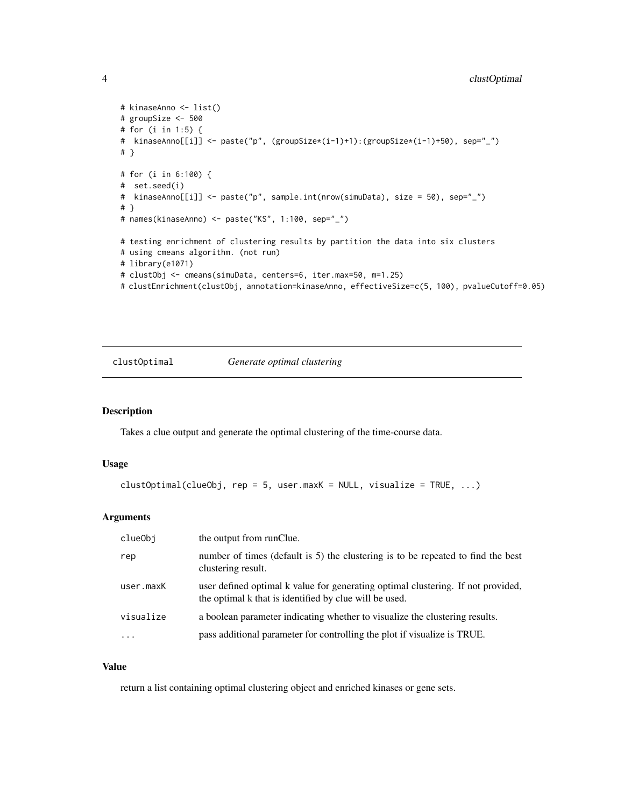```
# kinaseAnno <- list()
# groupSize <- 500
# for (i in 1:5) {
# kinaseAnno[[i]] <- paste("p", (groupSize*(i-1)+1):(groupSize*(i-1)+50), sep="_")
# }
# for (i in 6:100) {
# set.seed(i)
# kinaseAnno[[i]] <- paste("p", sample.int(nrow(simuData), size = 50), sep="_")
# }
# names(kinaseAnno) <- paste("KS", 1:100, sep="_")
# testing enrichment of clustering results by partition the data into six clusters
# using cmeans algorithm. (not run)
# library(e1071)
# clustObj <- cmeans(simuData, centers=6, iter.max=50, m=1.25)
# clustEnrichment(clustObj, annotation=kinaseAnno, effectiveSize=c(5, 100), pvalueCutoff=0.05)
```
clustOptimal *Generate optimal clustering*

### Description

Takes a clue output and generate the optimal clustering of the time-course data.

# Usage

```
clustOptimal(clueObj, rep = 5, user.maxK = NULL, visualize = TRUE, ...)
```
# Arguments

| clueObi   | the output from runClue.                                                                                                                   |
|-----------|--------------------------------------------------------------------------------------------------------------------------------------------|
| rep       | number of times (default is 5) the clustering is to be repeated to find the best<br>clustering result.                                     |
| user.maxK | user defined optimal k value for generating optimal clustering. If not provided,<br>the optimal k that is identified by clue will be used. |
| visualize | a boolean parameter indicating whether to visualize the clustering results.                                                                |
| $\ddotsc$ | pass additional parameter for controlling the plot if visualize is TRUE.                                                                   |

# Value

return a list containing optimal clustering object and enriched kinases or gene sets.

<span id="page-3-0"></span>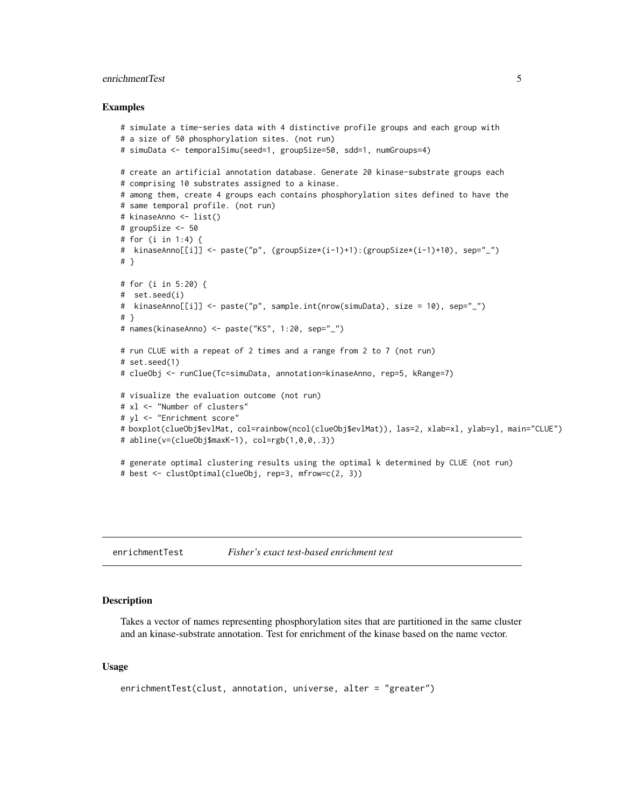# <span id="page-4-0"></span>enrichmentTest 5

### Examples

```
# simulate a time-series data with 4 distinctive profile groups and each group with
# a size of 50 phosphorylation sites. (not run)
# simuData <- temporalSimu(seed=1, groupSize=50, sdd=1, numGroups=4)
# create an artificial annotation database. Generate 20 kinase-substrate groups each
# comprising 10 substrates assigned to a kinase.
# among them, create 4 groups each contains phosphorylation sites defined to have the
# same temporal profile. (not run)
# kinaseAnno <- list()
# groupSize <- 50
# for (i in 1:4) {
# kinaseAnno[[i]] <- paste("p", (groupSize*(i-1)+1):(groupSize*(i-1)+10), sep="_")
# }
# for (i in 5:20) {
# set.seed(i)
# kinaseAnno[[i]] <- paste("p", sample.int(nrow(simuData), size = 10), sep="_")
# }
# names(kinaseAnno) <- paste("KS", 1:20, sep="_")
# run CLUE with a repeat of 2 times and a range from 2 to 7 (not run)
# set.seed(1)
# clueObj <- runClue(Tc=simuData, annotation=kinaseAnno, rep=5, kRange=7)
# visualize the evaluation outcome (not run)
# xl <- "Number of clusters"
# yl <- "Enrichment score"
# boxplot(clueObj$evlMat, col=rainbow(ncol(clueObj$evlMat)), las=2, xlab=xl, ylab=yl, main="CLUE")
# abline(v=(clueObj$maxK-1), col=rgb(1,0,0,.3))
# generate optimal clustering results using the optimal k determined by CLUE (not run)
# best <- clustOptimal(clueObj, rep=3, mfrow=c(2, 3))
```
enrichmentTest *Fisher's exact test-based enrichment test*

# **Description**

Takes a vector of names representing phosphorylation sites that are partitioned in the same cluster and an kinase-substrate annotation. Test for enrichment of the kinase based on the name vector.

# Usage

```
enrichmentTest(clust, annotation, universe, alter = "greater")
```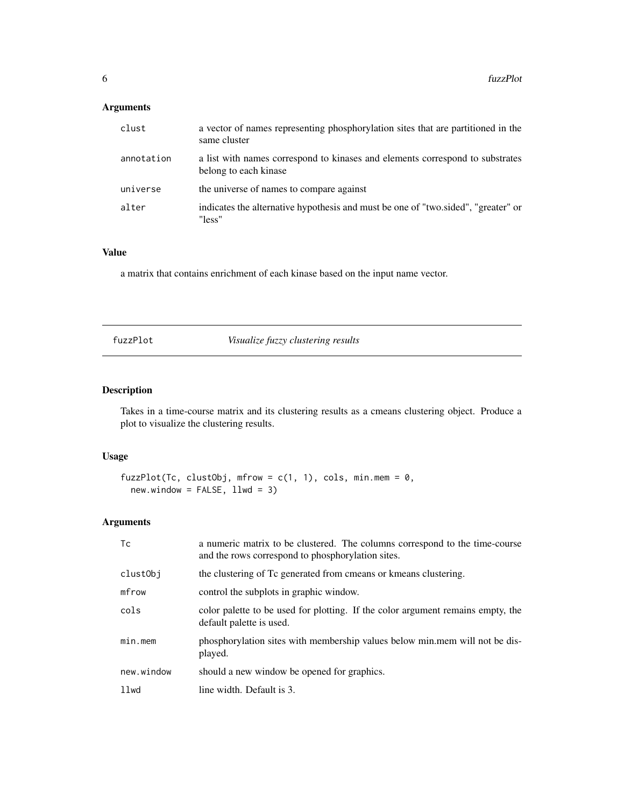# <span id="page-5-0"></span>Arguments

| clust      | a vector of names representing phosphorylation sites that are partitioned in the<br>same cluster       |
|------------|--------------------------------------------------------------------------------------------------------|
| annotation | a list with names correspond to kinases and elements correspond to substrates<br>belong to each kinase |
| universe   | the universe of names to compare against                                                               |
| alter      | indicates the alternative hypothesis and must be one of "two.sided", "greater" or<br>"less"            |

# Value

a matrix that contains enrichment of each kinase based on the input name vector.

fuzzPlot *Visualize fuzzy clustering results*

# Description

Takes in a time-course matrix and its clustering results as a cmeans clustering object. Produce a plot to visualize the clustering results.

# Usage

```
fuzzPlot(Tc, clustObj, mfrow = c(1, 1), cols, min.mem = 0,
 new.window = FALSE, 11wd = 3)
```
# Arguments

| Tc         | a numeric matrix to be clustered. The columns correspond to the time-course<br>and the rows correspond to phosphorylation sites. |
|------------|----------------------------------------------------------------------------------------------------------------------------------|
| clustObj   | the clustering of Tc generated from cmeans or kmeans clustering.                                                                 |
| mfrow      | control the subplots in graphic window.                                                                                          |
| cols       | color palette to be used for plotting. If the color argument remains empty, the<br>default palette is used.                      |
| $min.$ mem | phosphorylation sites with membership values below min.mem will not be dis-<br>played.                                           |
| new.window | should a new window be opened for graphics.                                                                                      |
| llwd       | line width. Default is 3.                                                                                                        |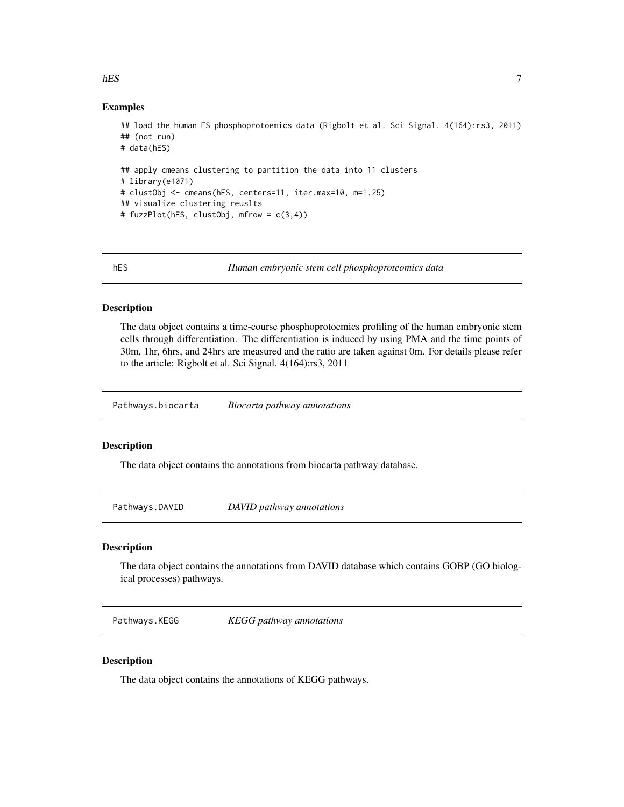# Examples

```
## load the human ES phosphoprotoemics data (Rigbolt et al. Sci Signal. 4(164):rs3, 2011)
## (not run)
# data(hES)
## apply cmeans clustering to partition the data into 11 clusters
# library(e1071)
# clustObj <- cmeans(hES, centers=11, iter.max=10, m=1.25)
## visualize clustering reuslts
# fuzzPlot(hES, clustObj, mfrow = c(3,4))
```
hES *Human embryonic stem cell phosphoproteomics data*

# Description

The data object contains a time-course phosphoprotoemics profiling of the human embryonic stem cells through differentiation. The differentiation is induced by using PMA and the time points of 30m, 1hr, 6hrs, and 24hrs are measured and the ratio are taken against 0m. For details please refer to the article: Rigbolt et al. Sci Signal. 4(164):rs3, 2011

Pathways.biocarta *Biocarta pathway annotations*

### Description

The data object contains the annotations from biocarta pathway database.

Pathways.DAVID *DAVID pathway annotations*

# Description

The data object contains the annotations from DAVID database which contains GOBP (GO biological processes) pathways.

Pathways.KEGG *KEGG pathway annotations*

# Description

The data object contains the annotations of KEGG pathways.

<span id="page-6-0"></span>hES 7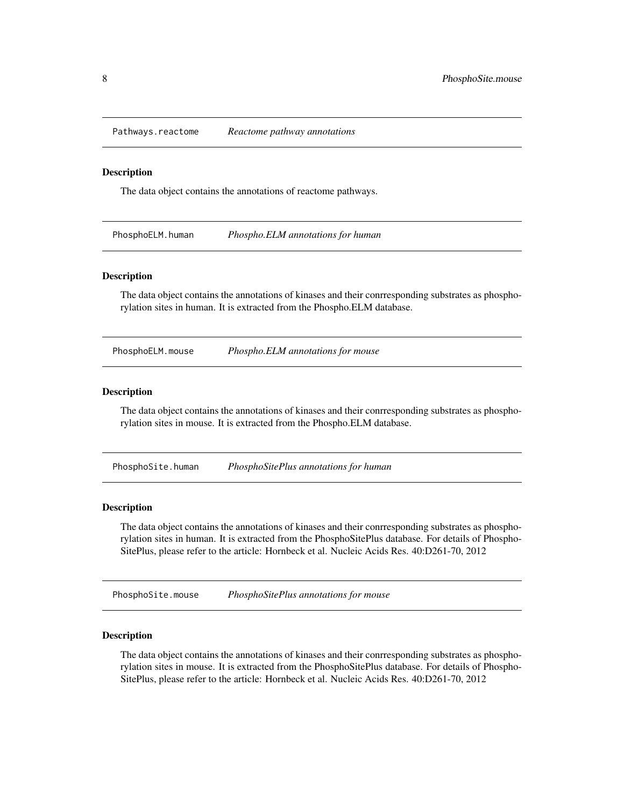<span id="page-7-0"></span>Pathways.reactome *Reactome pathway annotations*

### Description

The data object contains the annotations of reactome pathways.

PhosphoELM.human *Phospho.ELM annotations for human*

# Description

The data object contains the annotations of kinases and their conrresponding substrates as phosphorylation sites in human. It is extracted from the Phospho.ELM database.

PhosphoELM.mouse *Phospho.ELM annotations for mouse*

#### Description

The data object contains the annotations of kinases and their conrresponding substrates as phosphorylation sites in mouse. It is extracted from the Phospho.ELM database.

PhosphoSite.human *PhosphoSitePlus annotations for human*

#### Description

The data object contains the annotations of kinases and their conrresponding substrates as phosphorylation sites in human. It is extracted from the PhosphoSitePlus database. For details of Phospho-SitePlus, please refer to the article: Hornbeck et al. Nucleic Acids Res. 40:D261-70, 2012

PhosphoSite.mouse *PhosphoSitePlus annotations for mouse*

### **Description**

The data object contains the annotations of kinases and their conrresponding substrates as phosphorylation sites in mouse. It is extracted from the PhosphoSitePlus database. For details of Phospho-SitePlus, please refer to the article: Hornbeck et al. Nucleic Acids Res. 40:D261-70, 2012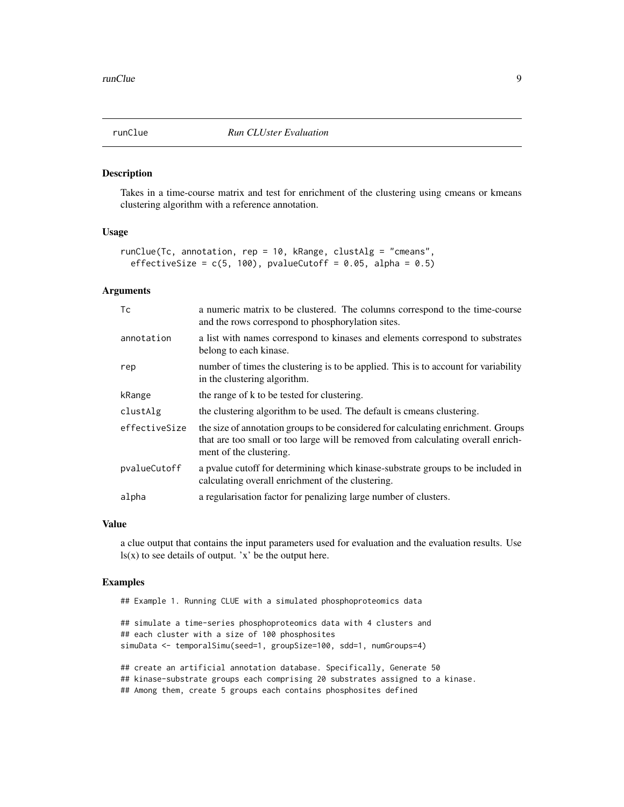<span id="page-8-0"></span>

#### Description

Takes in a time-course matrix and test for enrichment of the clustering using cmeans or kmeans clustering algorithm with a reference annotation.

# Usage

```
runClue(Tc, annotation, rep = 10, kRange, clustAlg = "cmeans",
 effectiveSize = c(5, 100), pvalueCutoff = 0.05, alpha = 0.5)
```
# Arguments

| Tc            | a numeric matrix to be clustered. The columns correspond to the time-course<br>and the rows correspond to phosphorylation sites.                                                                 |
|---------------|--------------------------------------------------------------------------------------------------------------------------------------------------------------------------------------------------|
| annotation    | a list with names correspond to kinases and elements correspond to substrates<br>belong to each kinase.                                                                                          |
| rep           | number of times the clustering is to be applied. This is to account for variability<br>in the clustering algorithm.                                                                              |
| kRange        | the range of k to be tested for clustering.                                                                                                                                                      |
| clustAlg      | the clustering algorithm to be used. The default is cmeans clustering.                                                                                                                           |
| effectiveSize | the size of annotation groups to be considered for calculating enrichment. Groups<br>that are too small or too large will be removed from calculating overall enrich-<br>ment of the clustering. |
| pvalueCutoff  | a pvalue cutoff for determining which kinase-substrate groups to be included in<br>calculating overall enrichment of the clustering.                                                             |
| alpha         | a regularisation factor for penalizing large number of clusters.                                                                                                                                 |

# Value

a clue output that contains the input parameters used for evaluation and the evaluation results. Use  $\text{ls}(x)$  to see details of output. 'x' be the output here.

#### Examples

## Example 1. Running CLUE with a simulated phosphoproteomics data

## simulate a time-series phosphoproteomics data with 4 clusters and ## each cluster with a size of 100 phosphosites simuData <- temporalSimu(seed=1, groupSize=100, sdd=1, numGroups=4)

## create an artificial annotation database. Specifically, Generate 50 ## kinase-substrate groups each comprising 20 substrates assigned to a kinase. ## Among them, create 5 groups each contains phosphosites defined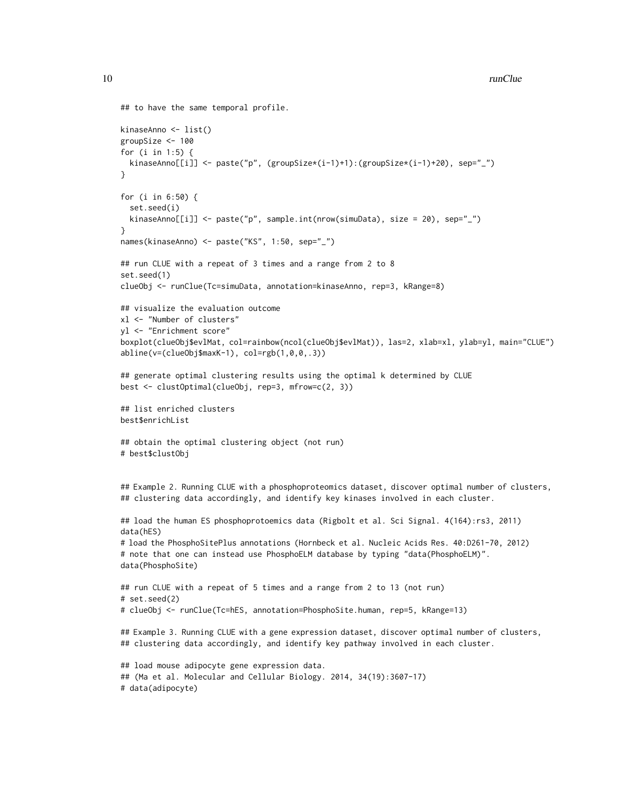```
10 runClue
```

```
## to have the same temporal profile.
kinaseAnno <- list()
groupSize <- 100
for (i in 1:5) {
 kinaseAnno[[i]] <- paste("p", (groupSize*(i-1)+1):(groupSize*(i-1)+20), sep="_")
}
for (i in 6:50) {
 set.seed(i)
 kinaseAnno[[i]] <- paste("p", sample.int(nrow(simuData), size = 20), sep="_")
}
names(kinaseAnno) <- paste("KS", 1:50, sep="_")
## run CLUE with a repeat of 3 times and a range from 2 to 8
set.seed(1)
clueObj <- runClue(Tc=simuData, annotation=kinaseAnno, rep=3, kRange=8)
## visualize the evaluation outcome
xl <- "Number of clusters"
yl <- "Enrichment score"
boxplot(clueObj$evlMat, col=rainbow(ncol(clueObj$evlMat)), las=2, xlab=xl, ylab=yl, main="CLUE")
abline(v=(clueObj$maxK-1), col=rgb(1,0,0,.3))
## generate optimal clustering results using the optimal k determined by CLUE
best <- clustOptimal(clueObj, rep=3, mfrow=c(2, 3))
## list enriched clusters
best$enrichList
## obtain the optimal clustering object (not run)
# best$clustObj
## Example 2. Running CLUE with a phosphoproteomics dataset, discover optimal number of clusters,
## clustering data accordingly, and identify key kinases involved in each cluster.
## load the human ES phosphoprotoemics data (Rigbolt et al. Sci Signal. 4(164):rs3, 2011)
data(hES)
# load the PhosphoSitePlus annotations (Hornbeck et al. Nucleic Acids Res. 40:D261-70, 2012)
# note that one can instead use PhosphoELM database by typing "data(PhosphoELM)".
data(PhosphoSite)
## run CLUE with a repeat of 5 times and a range from 2 to 13 (not run)
# set.seed(2)
# clueObj <- runClue(Tc=hES, annotation=PhosphoSite.human, rep=5, kRange=13)
## Example 3. Running CLUE with a gene expression dataset, discover optimal number of clusters,
## clustering data accordingly, and identify key pathway involved in each cluster.
## load mouse adipocyte gene expression data.
## (Ma et al. Molecular and Cellular Biology. 2014, 34(19):3607-17)
# data(adipocyte)
```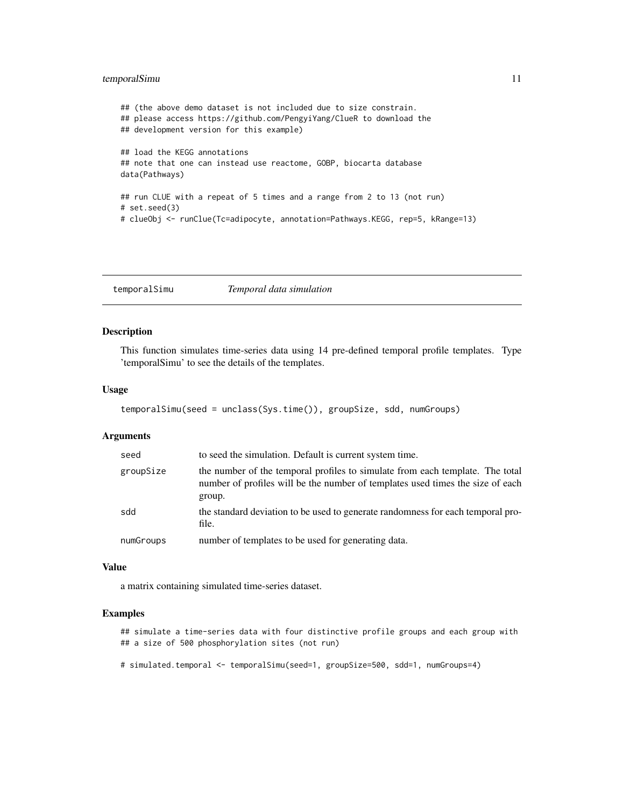# <span id="page-10-0"></span>temporalSimu 11

```
## (the above demo dataset is not included due to size constrain.
## please access https://github.com/PengyiYang/ClueR to download the
## development version for this example)
## load the KEGG annotations
## note that one can instead use reactome, GOBP, biocarta database
data(Pathways)
## run CLUE with a repeat of 5 times and a range from 2 to 13 (not run)
# set.seed(3)
# clueObj <- runClue(Tc=adipocyte, annotation=Pathways.KEGG, rep=5, kRange=13)
```
temporalSimu *Temporal data simulation*

# Description

This function simulates time-series data using 14 pre-defined temporal profile templates. Type 'temporalSimu' to see the details of the templates.

# Usage

```
temporalSimu(seed = unclass(Sys.time()), groupSize, sdd, numGroups)
```
# Arguments

| seed      | to seed the simulation. Default is current system time.                                                                                                                   |
|-----------|---------------------------------------------------------------------------------------------------------------------------------------------------------------------------|
| groupSize | the number of the temporal profiles to simulate from each template. The total<br>number of profiles will be the number of templates used times the size of each<br>group. |
| sdd       | the standard deviation to be used to generate randomness for each temporal pro-<br>file.                                                                                  |
| numGroups | number of templates to be used for generating data.                                                                                                                       |

# Value

a matrix containing simulated time-series dataset.

# Examples

## simulate a time-series data with four distinctive profile groups and each group with ## a size of 500 phosphorylation sites (not run)

# simulated.temporal <- temporalSimu(seed=1, groupSize=500, sdd=1, numGroups=4)